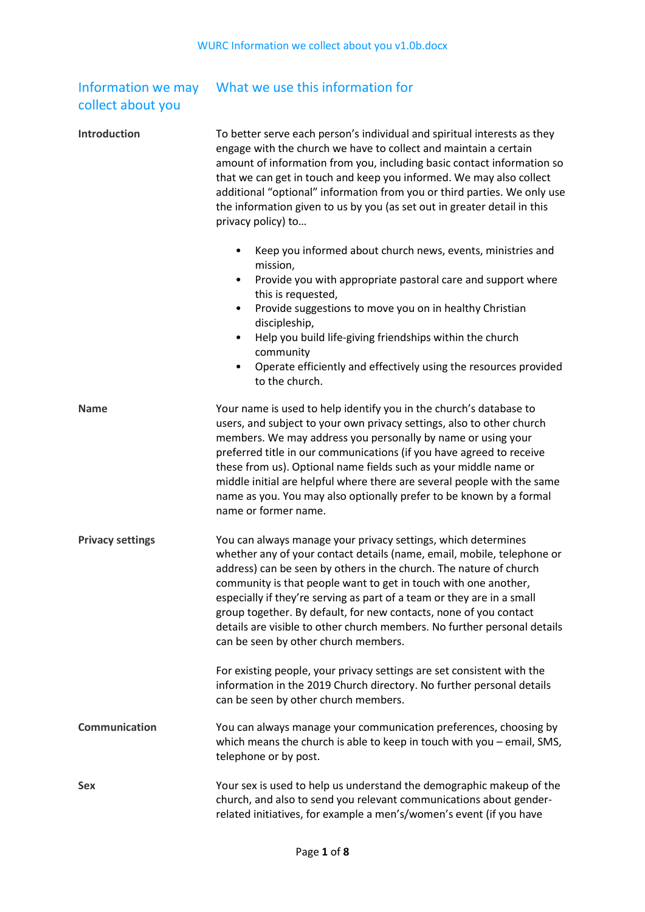| Information we may |
|--------------------|
| collect about you  |

# What we use this information for

| <b>Introduction</b>     | To better serve each person's individual and spiritual interests as they<br>engage with the church we have to collect and maintain a certain<br>amount of information from you, including basic contact information so<br>that we can get in touch and keep you informed. We may also collect<br>additional "optional" information from you or third parties. We only use<br>the information given to us by you (as set out in greater detail in this<br>privacy policy) to                                                                                                                                                   |
|-------------------------|-------------------------------------------------------------------------------------------------------------------------------------------------------------------------------------------------------------------------------------------------------------------------------------------------------------------------------------------------------------------------------------------------------------------------------------------------------------------------------------------------------------------------------------------------------------------------------------------------------------------------------|
|                         | Keep you informed about church news, events, ministries and<br>٠<br>mission,<br>Provide you with appropriate pastoral care and support where<br>$\bullet$<br>this is requested,<br>Provide suggestions to move you on in healthy Christian<br>٠<br>discipleship,<br>Help you build life-giving friendships within the church<br>$\bullet$<br>community<br>Operate efficiently and effectively using the resources provided<br>٠<br>to the church.                                                                                                                                                                             |
| <b>Name</b>             | Your name is used to help identify you in the church's database to<br>users, and subject to your own privacy settings, also to other church<br>members. We may address you personally by name or using your<br>preferred title in our communications (if you have agreed to receive<br>these from us). Optional name fields such as your middle name or<br>middle initial are helpful where there are several people with the same<br>name as you. You may also optionally prefer to be known by a formal<br>name or former name.                                                                                             |
| <b>Privacy settings</b> | You can always manage your privacy settings, which determines<br>whether any of your contact details (name, email, mobile, telephone or<br>address) can be seen by others in the church. The nature of church<br>community is that people want to get in touch with one another,<br>especially if they're serving as part of a team or they are in a small<br>group together. By default, for new contacts, none of you contact<br>details are visible to other church members. No further personal details<br>can be seen by other church members.<br>For existing people, your privacy settings are set consistent with the |
|                         | information in the 2019 Church directory. No further personal details<br>can be seen by other church members.                                                                                                                                                                                                                                                                                                                                                                                                                                                                                                                 |
| <b>Communication</b>    | You can always manage your communication preferences, choosing by<br>which means the church is able to keep in touch with you $-$ email, SMS,<br>telephone or by post.                                                                                                                                                                                                                                                                                                                                                                                                                                                        |
| <b>Sex</b>              | Your sex is used to help us understand the demographic makeup of the<br>church, and also to send you relevant communications about gender-<br>related initiatives, for example a men's/women's event (if you have                                                                                                                                                                                                                                                                                                                                                                                                             |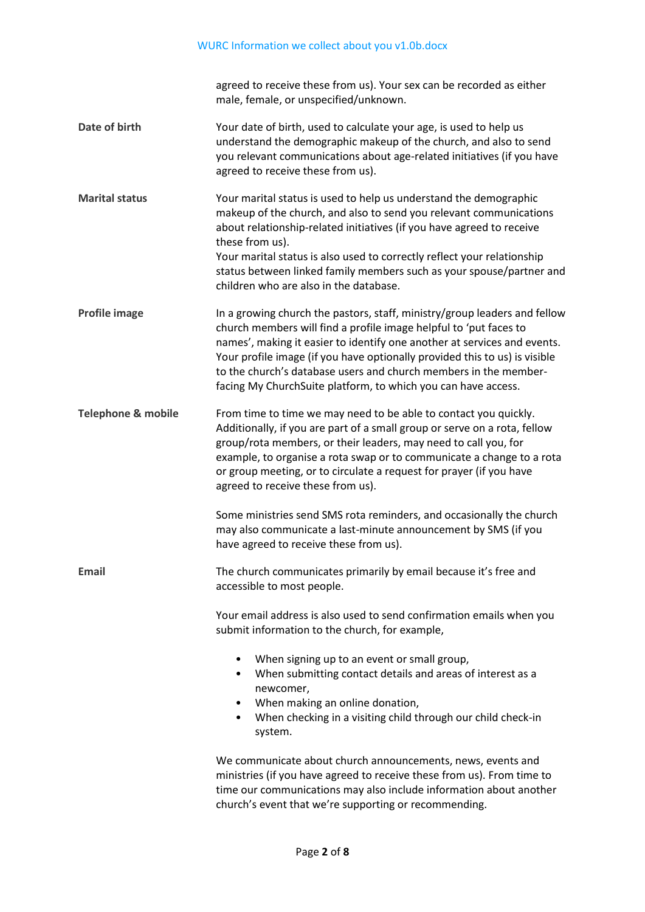|                               | agreed to receive these from us). Your sex can be recorded as either<br>male, female, or unspecified/unknown.                                                                                                                                                                                                                                                                                                                                 |
|-------------------------------|-----------------------------------------------------------------------------------------------------------------------------------------------------------------------------------------------------------------------------------------------------------------------------------------------------------------------------------------------------------------------------------------------------------------------------------------------|
| Date of birth                 | Your date of birth, used to calculate your age, is used to help us<br>understand the demographic makeup of the church, and also to send<br>you relevant communications about age-related initiatives (if you have<br>agreed to receive these from us).                                                                                                                                                                                        |
| <b>Marital status</b>         | Your marital status is used to help us understand the demographic<br>makeup of the church, and also to send you relevant communications<br>about relationship-related initiatives (if you have agreed to receive<br>these from us).<br>Your marital status is also used to correctly reflect your relationship<br>status between linked family members such as your spouse/partner and<br>children who are also in the database.              |
| <b>Profile image</b>          | In a growing church the pastors, staff, ministry/group leaders and fellow<br>church members will find a profile image helpful to 'put faces to<br>names', making it easier to identify one another at services and events.<br>Your profile image (if you have optionally provided this to us) is visible<br>to the church's database users and church members in the member-<br>facing My ChurchSuite platform, to which you can have access. |
| <b>Telephone &amp; mobile</b> | From time to time we may need to be able to contact you quickly.<br>Additionally, if you are part of a small group or serve on a rota, fellow<br>group/rota members, or their leaders, may need to call you, for<br>example, to organise a rota swap or to communicate a change to a rota<br>or group meeting, or to circulate a request for prayer (if you have<br>agreed to receive these from us).                                         |
|                               | Some ministries send SMS rota reminders, and occasionally the church<br>may also communicate a last-minute announcement by SMS (if you<br>have agreed to receive these from us).                                                                                                                                                                                                                                                              |
| Email                         | The church communicates primarily by email because it's free and<br>accessible to most people.                                                                                                                                                                                                                                                                                                                                                |
|                               | Your email address is also used to send confirmation emails when you<br>submit information to the church, for example,                                                                                                                                                                                                                                                                                                                        |
|                               | When signing up to an event or small group,<br>٠<br>When submitting contact details and areas of interest as a<br>newcomer,<br>When making an online donation,<br>$\bullet$<br>When checking in a visiting child through our child check-in<br>٠<br>system.                                                                                                                                                                                   |
|                               | We communicate about church announcements, news, events and<br>ministries (if you have agreed to receive these from us). From time to<br>time our communications may also include information about another                                                                                                                                                                                                                                   |

church's event that we're supporting or recommending.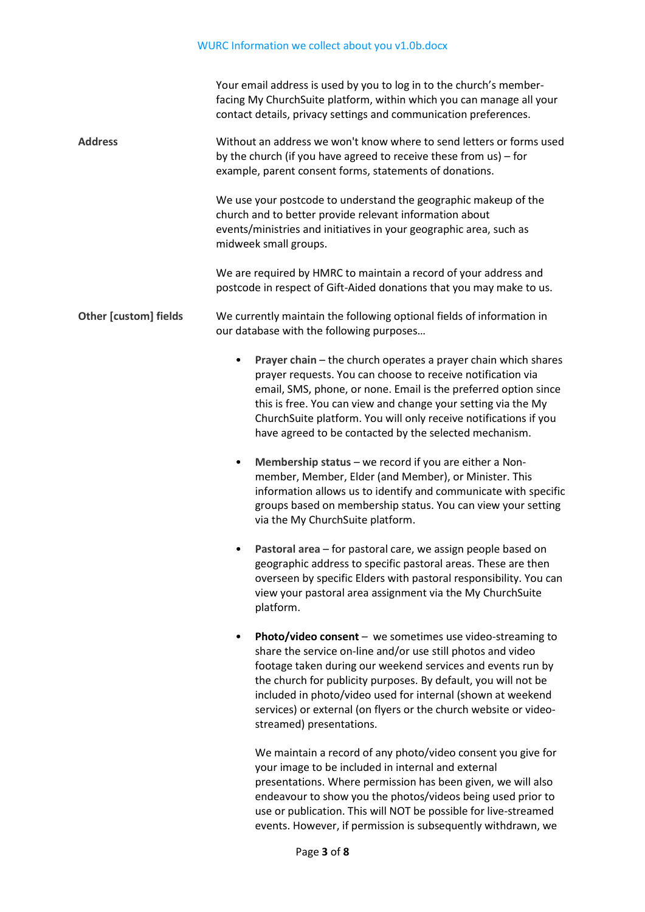|                              | Your email address is used by you to log in to the church's member-<br>facing My ChurchSuite platform, within which you can manage all your<br>contact details, privacy settings and communication preferences.                                                                                                                                                                                                                   |
|------------------------------|-----------------------------------------------------------------------------------------------------------------------------------------------------------------------------------------------------------------------------------------------------------------------------------------------------------------------------------------------------------------------------------------------------------------------------------|
| <b>Address</b>               | Without an address we won't know where to send letters or forms used<br>by the church (if you have agreed to receive these from us) - for<br>example, parent consent forms, statements of donations.                                                                                                                                                                                                                              |
|                              | We use your postcode to understand the geographic makeup of the<br>church and to better provide relevant information about<br>events/ministries and initiatives in your geographic area, such as<br>midweek small groups.                                                                                                                                                                                                         |
|                              | We are required by HMRC to maintain a record of your address and<br>postcode in respect of Gift-Aided donations that you may make to us.                                                                                                                                                                                                                                                                                          |
| <b>Other [custom] fields</b> | We currently maintain the following optional fields of information in<br>our database with the following purposes                                                                                                                                                                                                                                                                                                                 |
|                              | Prayer chain - the church operates a prayer chain which shares<br>$\bullet$<br>prayer requests. You can choose to receive notification via<br>email, SMS, phone, or none. Email is the preferred option since<br>this is free. You can view and change your setting via the My<br>ChurchSuite platform. You will only receive notifications if you<br>have agreed to be contacted by the selected mechanism.                      |
|                              | Membership status - we record if you are either a Non-<br>$\bullet$<br>member, Member, Elder (and Member), or Minister. This<br>information allows us to identify and communicate with specific<br>groups based on membership status. You can view your setting<br>via the My ChurchSuite platform.                                                                                                                               |
|                              | Pastoral area - for pastoral care, we assign people based on<br>$\bullet$<br>geographic address to specific pastoral areas. These are then<br>overseen by specific Elders with pastoral responsibility. You can<br>view your pastoral area assignment via the My ChurchSuite<br>platform.                                                                                                                                         |
|                              | <b>Photo/video consent</b> $-$ we sometimes use video-streaming to<br>share the service on-line and/or use still photos and video<br>footage taken during our weekend services and events run by<br>the church for publicity purposes. By default, you will not be<br>included in photo/video used for internal (shown at weekend<br>services) or external (on flyers or the church website or video-<br>streamed) presentations. |
|                              | We maintain a record of any photo/video consent you give for<br>your image to be included in internal and external<br>presentations. Where permission has been given, we will also<br>endeavour to show you the photos/videos being used prior to<br>use or publication. This will NOT be possible for live-streamed<br>events. However, if permission is subsequently withdrawn, we                                              |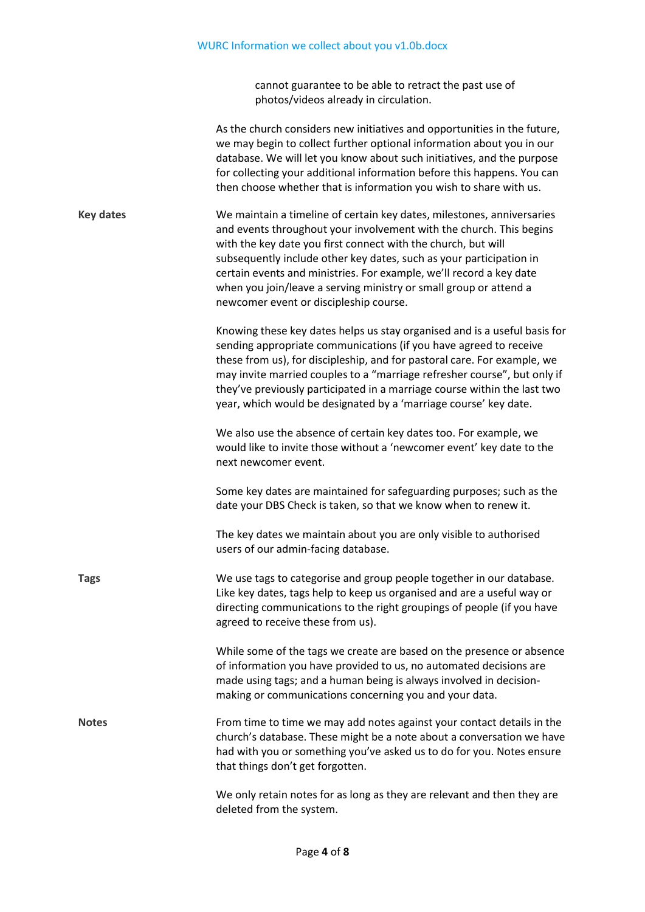cannot guarantee to be able to retract the past use of photos/videos already in circulation.

|                  | As the church considers new initiatives and opportunities in the future,<br>we may begin to collect further optional information about you in our<br>database. We will let you know about such initiatives, and the purpose<br>for collecting your additional information before this happens. You can<br>then choose whether that is information you wish to share with us.                                                                                                |
|------------------|-----------------------------------------------------------------------------------------------------------------------------------------------------------------------------------------------------------------------------------------------------------------------------------------------------------------------------------------------------------------------------------------------------------------------------------------------------------------------------|
| <b>Key dates</b> | We maintain a timeline of certain key dates, milestones, anniversaries<br>and events throughout your involvement with the church. This begins<br>with the key date you first connect with the church, but will<br>subsequently include other key dates, such as your participation in<br>certain events and ministries. For example, we'll record a key date<br>when you join/leave a serving ministry or small group or attend a<br>newcomer event or discipleship course. |
|                  | Knowing these key dates helps us stay organised and is a useful basis for<br>sending appropriate communications (if you have agreed to receive<br>these from us), for discipleship, and for pastoral care. For example, we<br>may invite married couples to a "marriage refresher course", but only if<br>they've previously participated in a marriage course within the last two<br>year, which would be designated by a 'marriage course' key date.                      |
|                  | We also use the absence of certain key dates too. For example, we<br>would like to invite those without a 'newcomer event' key date to the<br>next newcomer event.                                                                                                                                                                                                                                                                                                          |
|                  | Some key dates are maintained for safeguarding purposes; such as the<br>date your DBS Check is taken, so that we know when to renew it.                                                                                                                                                                                                                                                                                                                                     |
|                  | The key dates we maintain about you are only visible to authorised<br>users of our admin-facing database.                                                                                                                                                                                                                                                                                                                                                                   |
| <b>Tags</b>      | We use tags to categorise and group people together in our database.<br>Like key dates, tags help to keep us organised and are a useful way or<br>directing communications to the right groupings of people (if you have<br>agreed to receive these from us).                                                                                                                                                                                                               |
|                  | While some of the tags we create are based on the presence or absence<br>of information you have provided to us, no automated decisions are<br>made using tags; and a human being is always involved in decision-<br>making or communications concerning you and your data.                                                                                                                                                                                                 |
| <b>Notes</b>     | From time to time we may add notes against your contact details in the<br>church's database. These might be a note about a conversation we have<br>had with you or something you've asked us to do for you. Notes ensure<br>that things don't get forgotten.                                                                                                                                                                                                                |
|                  | We only retain notes for as long as they are relevant and then they are<br>deleted from the system.                                                                                                                                                                                                                                                                                                                                                                         |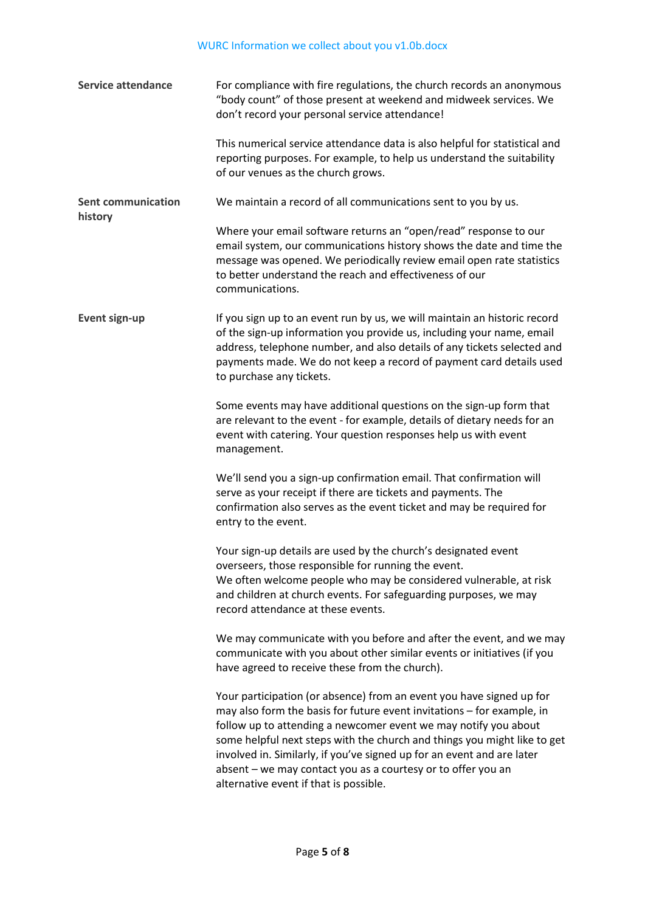| <b>Service attendance</b>            | For compliance with fire regulations, the church records an anonymous<br>"body count" of those present at weekend and midweek services. We<br>don't record your personal service attendance!                                                                                                                                                                                                                                                                                      |
|--------------------------------------|-----------------------------------------------------------------------------------------------------------------------------------------------------------------------------------------------------------------------------------------------------------------------------------------------------------------------------------------------------------------------------------------------------------------------------------------------------------------------------------|
|                                      | This numerical service attendance data is also helpful for statistical and<br>reporting purposes. For example, to help us understand the suitability<br>of our venues as the church grows.                                                                                                                                                                                                                                                                                        |
| <b>Sent communication</b><br>history | We maintain a record of all communications sent to you by us.                                                                                                                                                                                                                                                                                                                                                                                                                     |
|                                      | Where your email software returns an "open/read" response to our<br>email system, our communications history shows the date and time the<br>message was opened. We periodically review email open rate statistics<br>to better understand the reach and effectiveness of our<br>communications.                                                                                                                                                                                   |
| <b>Event sign-up</b>                 | If you sign up to an event run by us, we will maintain an historic record<br>of the sign-up information you provide us, including your name, email<br>address, telephone number, and also details of any tickets selected and<br>payments made. We do not keep a record of payment card details used<br>to purchase any tickets.                                                                                                                                                  |
|                                      | Some events may have additional questions on the sign-up form that<br>are relevant to the event - for example, details of dietary needs for an<br>event with catering. Your question responses help us with event<br>management.                                                                                                                                                                                                                                                  |
|                                      | We'll send you a sign-up confirmation email. That confirmation will<br>serve as your receipt if there are tickets and payments. The<br>confirmation also serves as the event ticket and may be required for<br>entry to the event.                                                                                                                                                                                                                                                |
|                                      | Your sign-up details are used by the church's designated event<br>overseers, those responsible for running the event.<br>We often welcome people who may be considered vulnerable, at risk<br>and children at church events. For safeguarding purposes, we may<br>record attendance at these events.                                                                                                                                                                              |
|                                      | We may communicate with you before and after the event, and we may<br>communicate with you about other similar events or initiatives (if you<br>have agreed to receive these from the church).                                                                                                                                                                                                                                                                                    |
|                                      | Your participation (or absence) from an event you have signed up for<br>may also form the basis for future event invitations - for example, in<br>follow up to attending a newcomer event we may notify you about<br>some helpful next steps with the church and things you might like to get<br>involved in. Similarly, if you've signed up for an event and are later<br>absent – we may contact you as a courtesy or to offer you an<br>alternative event if that is possible. |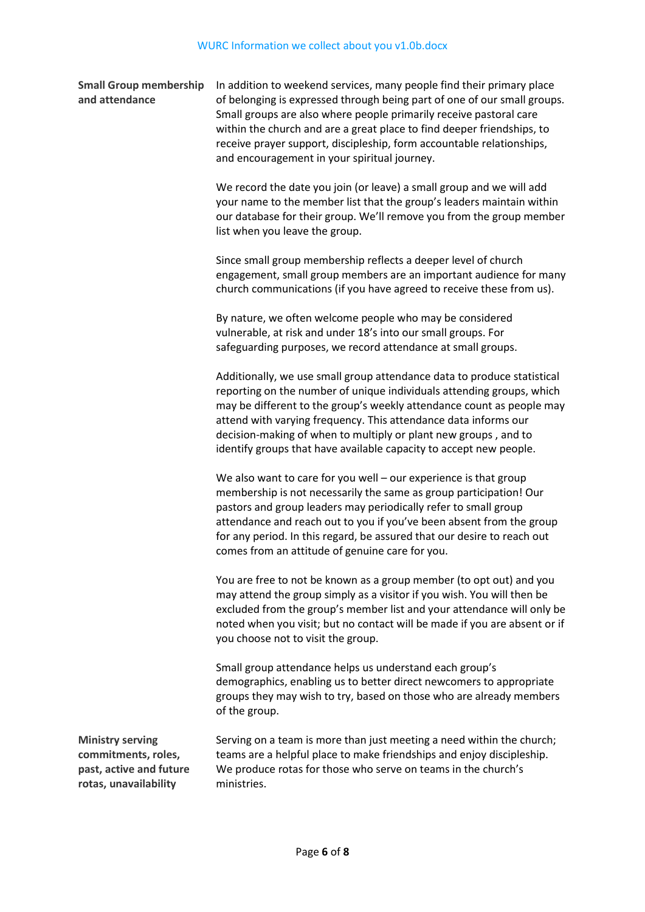**Small Group membership and attendance** In addition to weekend services, many people find their primary place of belonging is expressed through being part of one of our small groups. Small groups are also where people primarily receive pastoral care within the church and are a great place to find deeper friendships, to receive prayer support, discipleship, form accountable relationships,

and encouragement in your spiritual journey.

We record the date you join (or leave) a small group and we will add your name to the member list that the group's leaders maintain within our database for their group. We'll remove you from the group member list when you leave the group.

Since small group membership reflects a deeper level of church engagement, small group members are an important audience for many church communications (if you have agreed to receive these from us).

By nature, we often welcome people who may be considered vulnerable, at risk and under 18's into our small groups. For safeguarding purposes, we record attendance at small groups.

Additionally, we use small group attendance data to produce statistical reporting on the number of unique individuals attending groups, which may be different to the group's weekly attendance count as people may attend with varying frequency. This attendance data informs our decision-making of when to multiply or plant new groups , and to identify groups that have available capacity to accept new people.

We also want to care for you well – our experience is that group membership is not necessarily the same as group participation! Our pastors and group leaders may periodically refer to small group attendance and reach out to you if you've been absent from the group for any period. In this regard, be assured that our desire to reach out comes from an attitude of genuine care for you.

You are free to not be known as a group member (to opt out) and you may attend the group simply as a visitor if you wish. You will then be excluded from the group's member list and your attendance will only be noted when you visit; but no contact will be made if you are absent or if you choose not to visit the group.

Small group attendance helps us understand each group's demographics, enabling us to better direct newcomers to appropriate groups they may wish to try, based on those who are already members of the group.

**Ministry serving commitments, roles, past, active and future rotas, unavailability**

Serving on a team is more than just meeting a need within the church; teams are a helpful place to make friendships and enjoy discipleship. We produce rotas for those who serve on teams in the church's ministries.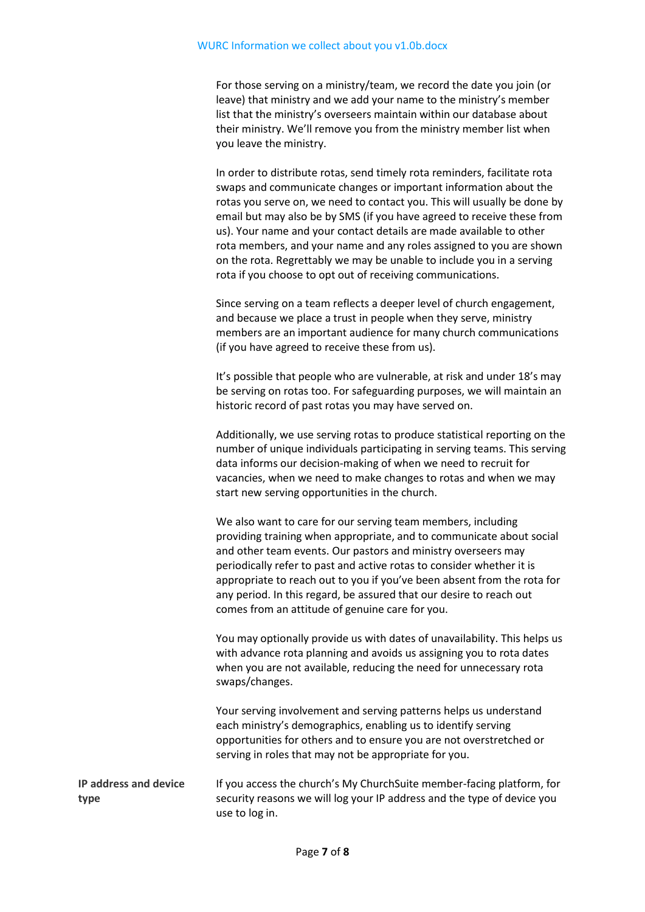For those serving on a ministry/team, we record the date you join (or leave) that ministry and we add your name to the ministry's member list that the ministry's overseers maintain within our database about their ministry. We'll remove you from the ministry member list when you leave the ministry.

In order to distribute rotas, send timely rota reminders, facilitate rota swaps and communicate changes or important information about the rotas you serve on, we need to contact you. This will usually be done by email but may also be by SMS (if you have agreed to receive these from us). Your name and your contact details are made available to other rota members, and your name and any roles assigned to you are shown on the rota. Regrettably we may be unable to include you in a serving rota if you choose to opt out of receiving communications.

Since serving on a team reflects a deeper level of church engagement, and because we place a trust in people when they serve, ministry members are an important audience for many church communications (if you have agreed to receive these from us).

It's possible that people who are vulnerable, at risk and under 18's may be serving on rotas too. For safeguarding purposes, we will maintain an historic record of past rotas you may have served on.

Additionally, we use serving rotas to produce statistical reporting on the number of unique individuals participating in serving teams. This serving data informs our decision-making of when we need to recruit for vacancies, when we need to make changes to rotas and when we may start new serving opportunities in the church.

We also want to care for our serving team members, including providing training when appropriate, and to communicate about social and other team events. Our pastors and ministry overseers may periodically refer to past and active rotas to consider whether it is appropriate to reach out to you if you've been absent from the rota for any period. In this regard, be assured that our desire to reach out comes from an attitude of genuine care for you.

You may optionally provide us with dates of unavailability. This helps us with advance rota planning and avoids us assigning you to rota dates when you are not available, reducing the need for unnecessary rota swaps/changes.

Your serving involvement and serving patterns helps us understand each ministry's demographics, enabling us to identify serving opportunities for others and to ensure you are not overstretched or serving in roles that may not be appropriate for you.

**IP address and device type** If you access the church's My ChurchSuite member-facing platform, for security reasons we will log your IP address and the type of device you use to log in.